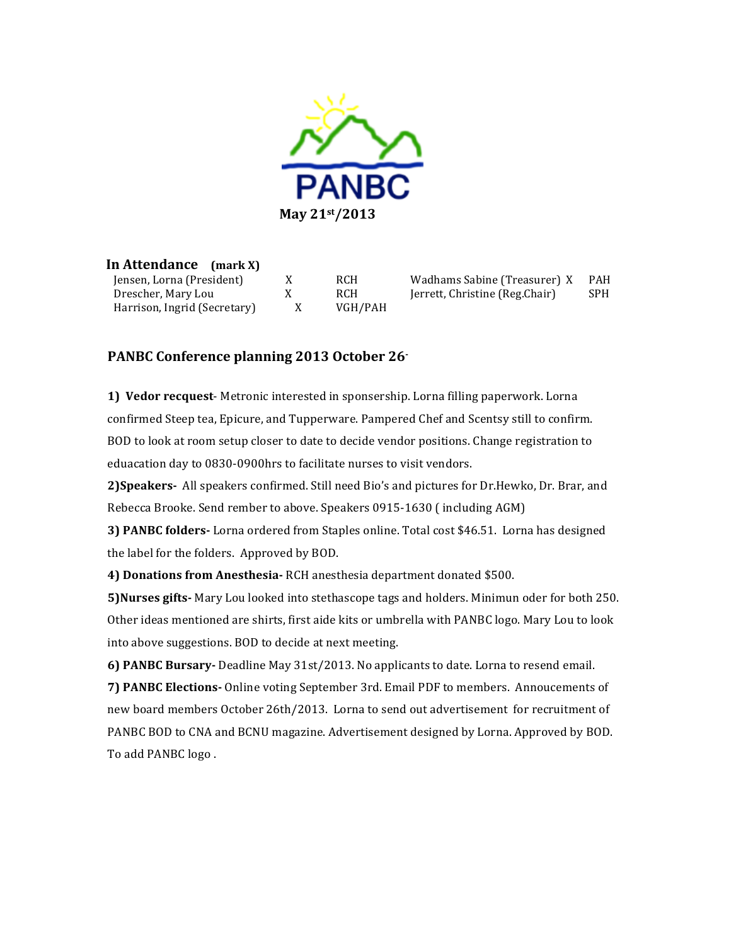

In Attendance (mark X) Jensen, Lorna (President) Drescher, Mary Lou Harrison, Ingrid (Secretary)

X **RCH**  $X$ **RCH**  $X$ VGH/PAH

Wadhams Sabine (Treasurer) X **PAH** Jerrett, Christine (Reg.Chair) **SPH** 

## PANBC Conference planning 2013 October 26

1) Vedor recquest-Metronic interested in sponsership. Lorna filling paperwork. Lorna confirmed Steep tea, Epicure, and Tupperware. Pampered Chef and Scentsy still to confirm. BOD to look at room setup closer to date to decide vendor positions. Change registration to eduacation day to 0830-0900hrs to facilitate nurses to visit vendors.

2) Speakers- All speakers confirmed. Still need Bio's and pictures for Dr.Hewko, Dr. Brar, and Rebecca Brooke. Send rember to above. Speakers 0915-1630 (including AGM)

3) PANBC folders- Lorna ordered from Staples online. Total cost \$46.51. Lorna has designed the label for the folders. Approved by BOD.

4) Donations from Anesthesia-RCH anesthesia department donated \$500.

5) Nurses gifts-Mary Lou looked into stethascope tags and holders. Minimun oder for both 250. Other ideas mentioned are shirts, first aide kits or umbrella with PANBC logo. Mary Lou to look into above suggestions. BOD to decide at next meeting.

6) PANBC Bursary-Deadline May 31st/2013. No applicants to date. Lorna to resend email. 7) PANBC Elections- Online voting September 3rd. Email PDF to members. Annoucements of new board members October 26th/2013. Lorna to send out advertisement for recruitment of PANBC BOD to CNA and BCNU magazine. Advertisement designed by Lorna. Approved by BOD. To add PANBC logo.